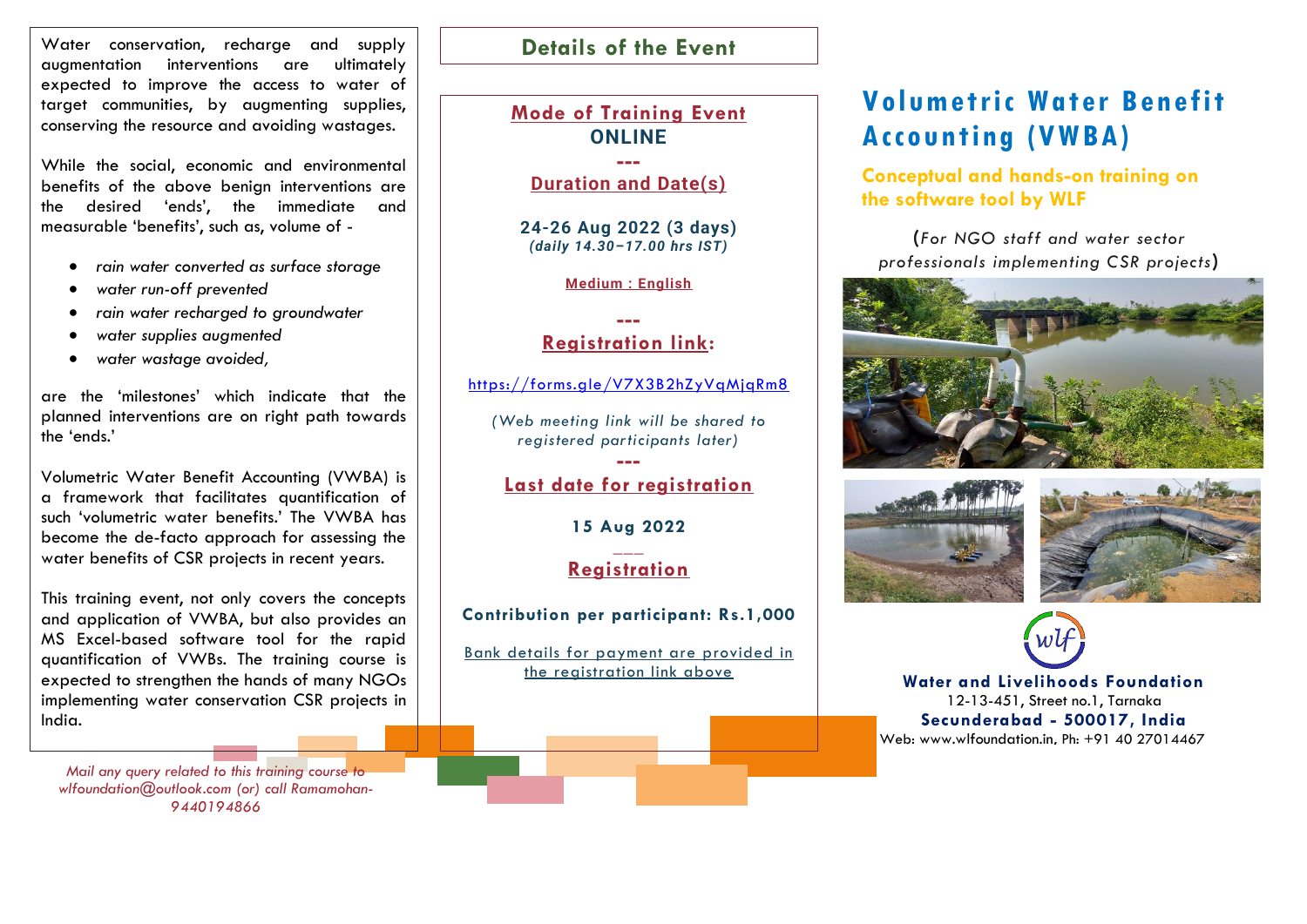Water conservation, recharge and supply augmentation interventions are ultimately expected to improve the access to water of target communities, by augmenting supplies, conserving the resource and avoiding wastages.

While the social, economic and environmental benefits of the above benign interventions are the desired 'ends', the immediate and measurable 'benefits', such as, volume of -

- *rain water converted as surface storage*
- *water run-off prevented*
- *rain water recharged to groundwater*
- *water supplies augmented*
- *water wastage avoided,*

are the 'milestones' which indicate that the planned interventions are on right path towards the 'ends.'

Volumetric Water Benefit Accounting (VWBA) is a framework that facilitates quantification of such 'volumetric water benefits.' The VWBA has become the de-facto approach for assessing the water benefits of CSR projects in recent years.

This training event, not only covers the concepts and application of VWBA, but also provides an MS Excel-based software tool for the rapid quantification of VWBs. The training course is expected to strengthen the hands of many NGOs implementing water conservation CSR projects in India.

*Mail any query related to this training course to wlfoundation@outlook.com (or) call Ramamohan-9440194866*

## **Details of the Event**

## **Mode of Training Event ONLINE ---**

**Duration and Date(s)**

**24-26 Aug 2022 (3 days)** *(daily 14.30–17.00 hrs IST)*

**Medium : English**

## **--- Registration link:**

<https://forms.gle/V7X3B2hZyVqMjqRm8>

*(Web meeting link will be shared to registered participants later)*

## **--- Last date for registration**

**15 Aug 2022**

### **\_\_\_ Registration**

### **Contribution per participant: Rs.1,000**

Bank details for payment are provided in the registration link above

# **Volumetric Water Benefit Accounting (VWBA)**

**Conceptual and hands-on training on the software tool by WLF**

**(***For NGO staff and water sector professionals implementing CSR projects***)**









**Water and Livelihoods Foundation** 12-13-451, Street no.1, Tarnaka **Secunderabad - 500017, India** Web: [www.wlfoundation.in,](http://www.wlfoundation.in/) Ph: +91 40 27014467